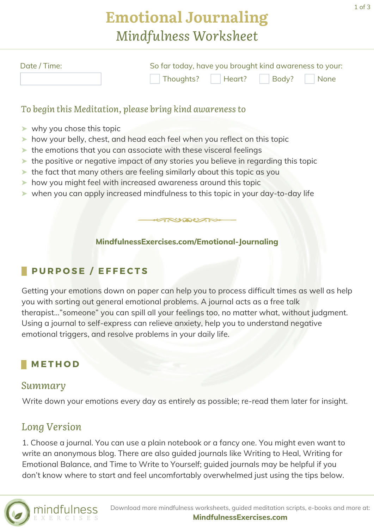# **Emotional Journaling** *Mindfulness Worksheet*

| Date / Time: | So far today, have you brought kind awareness to your: |  |
|--------------|--------------------------------------------------------|--|
|              | Thoughts? Heart? Body? None                            |  |

#### *To begin this Meditation, please bring kind awareness to*

- ➤ why you chose this topic
- ➤ how your belly, chest, and head each feel when you reflect on this topic
- ➤ the emotions that you can associate with these visceral feelings
- ➤ the positive or negative impact of any stories you believe in regarding this topic
- ➤ the fact that many others are feeling similarly about this topic as you
- ➤ how you might feel with increased awareness around this topic
- ➤ when you can apply increased mindfulness to this topic in your day-to-day life

## **[MindfulnessExercises.com/Emotional-Journaling](https://mindfulnessexercises.com/emotional-journaling/)**

RUDUAN

## **P U R P O S E / E F F E C T S**

Getting your emotions down on paper can help you to process difficult times as well as help you with sorting out general emotional problems. A journal acts as a free talk therapist..."someone" you can spill all your feelings too, no matter what, without judgment. Using a journal to self-express can relieve anxiety, help you to understand negative emotional triggers, and resolve problems in your daily life.

### **M E T H O D**

#### *Summary*

Write down your emotions every day as entirely as possible; re-read them later for insight.

### *Long Version*

1. Choose a journal. You can use a plain notebook or a fancy one. You might even want to write an anonymous blog. There are also guided journals like Writing to Heal, Writing for Emotional Balance, and Time to Write to Yourself; guided journals may be helpful if you don't know where to start and feel uncomfortably overwhelmed just using the tips below.

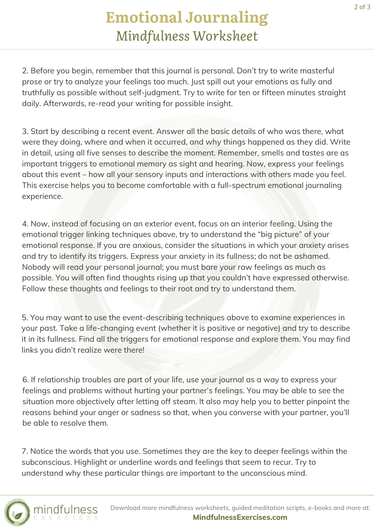# **Emotional Journaling** *Mindfulness Worksheet*

2. Before you begin, remember that this journal is personal. Don't try to write masterful prose or try to analyze your feelings too much. Just spill out your emotions as fully and truthfully as possible without self-judgment. Try to write for ten or fifteen minutes straight daily. Afterwards, re-read your writing for possible insight.

3. Start by describing a recent event. Answer all the basic details of who was there, what were they doing, where and when it occurred, and why things happened as they did. Write in detail, using all five senses to describe the moment. Remember, smells and tastes are as important triggers to emotional memory as sight and hearing. Now, express your feelings about this event – how all your sensory inputs and interactions with others made you feel. This exercise helps you to become comfortable with a full-spectrum emotional journaling experience.

4. Now, instead of focusing on an exterior event, focus on an interior feeling. Using the emotional trigger linking techniques above, try to understand the "big picture" of your emotional response. If you are anxious, consider the situations in which your anxiety arises and try to identify its triggers. Express your anxiety in its fullness; do not be ashamed. Nobody will read your personal journal; you must bare your raw feelings as much as possible. You will often find thoughts rising up that you couldn't have expressed otherwise. Follow these thoughts and feelings to their root and try to understand them.

5. You may want to use the event-describing techniques above to examine experiences in your past. Take a life-changing event (whether it is positive or negative) and try to describe it in its fullness. Find all the triggers for emotional response and explore them. You may find links you didn't realize were there!

6. If relationship troubles are part of your life, use your journal as a way to express your feelings and problems without hurting your partner's feelings. You may be able to see the situation more objectively after letting off steam. It also may help you to better pinpoint the reasons behind your anger or sadness so that, when you converse with your partner, you'll be able to resolve them.

7. Notice the words that you use. Sometimes they are the key to deeper feelings within the subconscious. Highlight or underline words and feelings that seem to recur. Try to understand why these particular things are important to the unconscious mind.



Download more mindfulness worksheets, guided meditation scripts, e-books and more at: **[MindfulnessExercises.com](https://mindfulnessexercises.com/)**